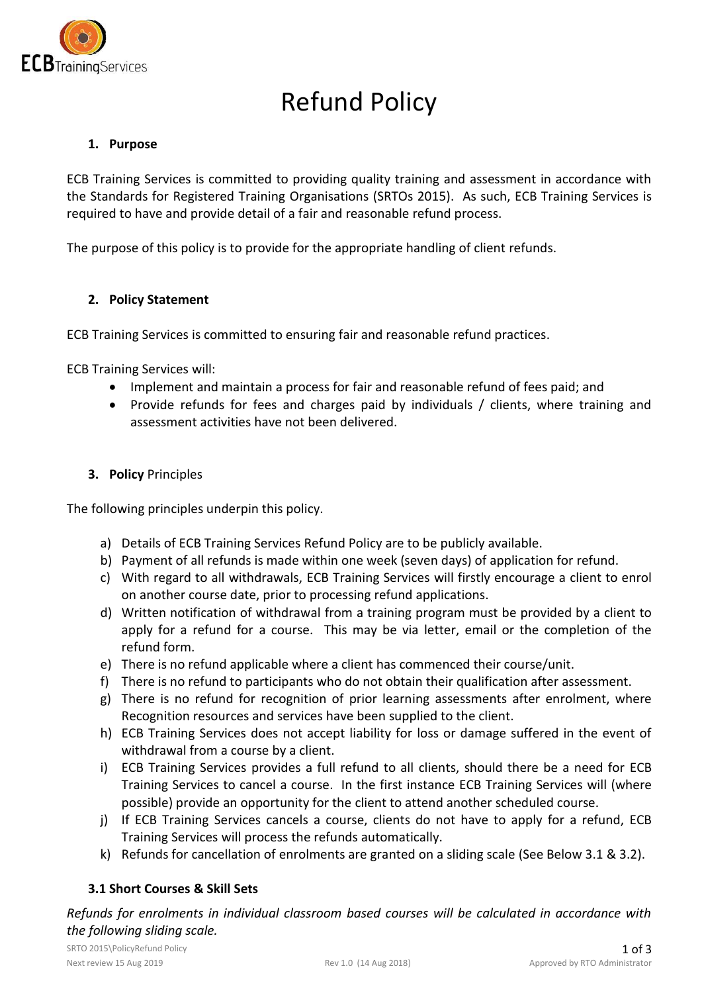

# Refund Policy

### **1. Purpose**

ECB Training Services is committed to providing quality training and assessment in accordance with the Standards for Registered Training Organisations (SRTOs 2015). As such, ECB Training Services is required to have and provide detail of a fair and reasonable refund process.

The purpose of this policy is to provide for the appropriate handling of client refunds.

#### **2. Policy Statement**

ECB Training Services is committed to ensuring fair and reasonable refund practices.

ECB Training Services will:

- Implement and maintain a process for fair and reasonable refund of fees paid; and
- Provide refunds for fees and charges paid by individuals / clients, where training and assessment activities have not been delivered.

#### **3. Policy** Principles

The following principles underpin this policy.

- a) Details of ECB Training Services Refund Policy are to be publicly available.
- b) Payment of all refunds is made within one week (seven days) of application for refund.
- c) With regard to all withdrawals, ECB Training Services will firstly encourage a client to enrol on another course date, prior to processing refund applications.
- d) Written notification of withdrawal from a training program must be provided by a client to apply for a refund for a course. This may be via letter, email or the completion of the refund form.
- e) There is no refund applicable where a client has commenced their course/unit.
- f) There is no refund to participants who do not obtain their qualification after assessment.
- g) There is no refund for recognition of prior learning assessments after enrolment, where Recognition resources and services have been supplied to the client.
- h) ECB Training Services does not accept liability for loss or damage suffered in the event of withdrawal from a course by a client.
- i) ECB Training Services provides a full refund to all clients, should there be a need for ECB Training Services to cancel a course. In the first instance ECB Training Services will (where possible) provide an opportunity for the client to attend another scheduled course.
- j) If ECB Training Services cancels a course, clients do not have to apply for a refund, ECB Training Services will process the refunds automatically.
- k) Refunds for cancellation of enrolments are granted on a sliding scale (See Below 3.1 & 3.2).

## **3.1 Short Courses & Skill Sets**

*the following sliding scale. Refunds for enrolments in individual classroom based courses will be calculated in accordance with*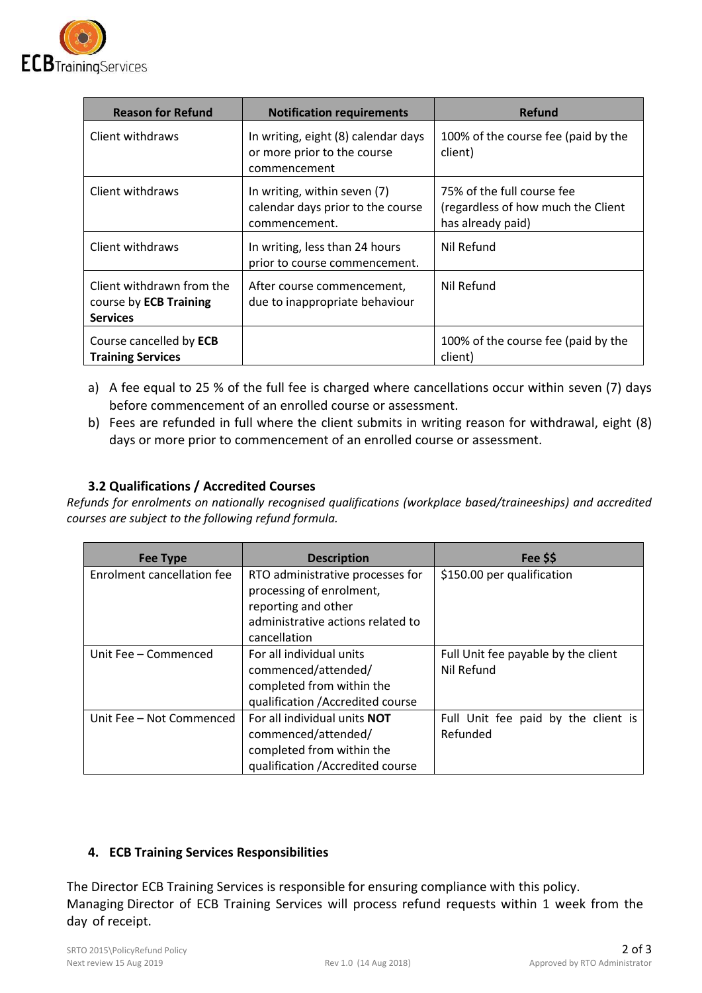

| <b>Reason for Refund</b>                                               | <b>Notification requirements</b>                                                   | <b>Refund</b>                                                                         |
|------------------------------------------------------------------------|------------------------------------------------------------------------------------|---------------------------------------------------------------------------------------|
| Client withdraws                                                       | In writing, eight (8) calendar days<br>or more prior to the course<br>commencement | 100% of the course fee (paid by the<br>client)                                        |
| Client withdraws                                                       | In writing, within seven (7)<br>calendar days prior to the course<br>commencement. | 75% of the full course fee<br>(regardless of how much the Client<br>has already paid) |
| Client withdraws                                                       | In writing, less than 24 hours<br>prior to course commencement.                    | Nil Refund                                                                            |
| Client withdrawn from the<br>course by ECB Training<br><b>Services</b> | After course commencement,<br>due to inappropriate behaviour                       | Nil Refund                                                                            |
| Course cancelled by ECB<br><b>Training Services</b>                    |                                                                                    | 100% of the course fee (paid by the<br>client)                                        |

- a) A fee equal to 25 % of the full fee is charged where cancellations occur within seven (7) days before commencement of an enrolled course or assessment.
- b) Fees are refunded in full where the client submits in writing reason for withdrawal, eight (8) days or more prior to commencement of an enrolled course or assessment.

## **3.2 Qualifications / Accredited Courses**

*Refunds for enrolments on nationally recognised qualifications (workplace based/traineeships) and accredited courses are subject to the following refund formula.* 

| <b>Fee Type</b>                   | <b>Description</b>                  | Fee \$\$                            |
|-----------------------------------|-------------------------------------|-------------------------------------|
| <b>Enrolment cancellation fee</b> | RTO administrative processes for    | \$150.00 per qualification          |
|                                   | processing of enrolment,            |                                     |
|                                   | reporting and other                 |                                     |
|                                   | administrative actions related to   |                                     |
|                                   | cancellation                        |                                     |
| Unit Fee - Commenced              | For all individual units            | Full Unit fee payable by the client |
|                                   | commenced/attended/                 | Nil Refund                          |
|                                   | completed from within the           |                                     |
|                                   | qualification / Accredited course   |                                     |
| Unit Fee - Not Commenced          | For all individual units <b>NOT</b> | Full Unit fee paid by the client is |
|                                   | commenced/attended/                 | Refunded                            |
|                                   | completed from within the           |                                     |
|                                   | qualification / Accredited course   |                                     |

## **4. ECB Training Services Responsibilities**

The Director ECB Training Services is responsible for ensuring compliance with this policy. Managing Director of ECB Training Services will process refund requests within 1 week from the day of receipt.